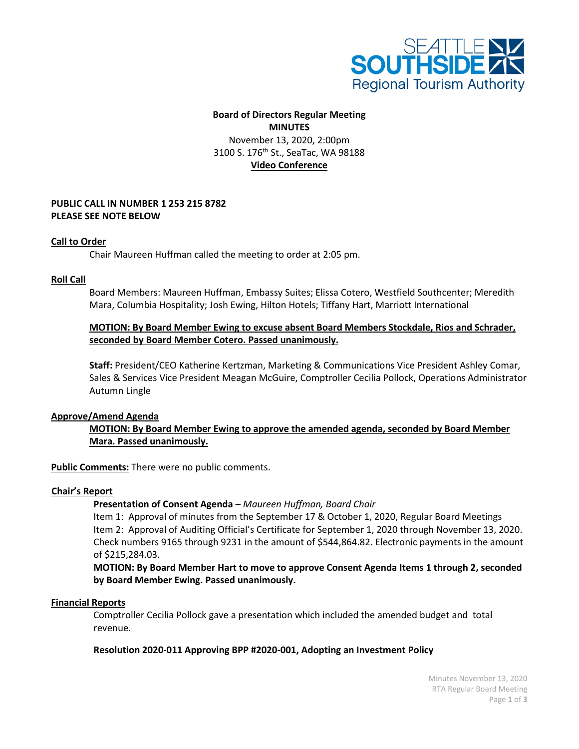

# **Board of Directors Regular Meeting MINUTES** November 13, 2020, 2:00pm 3100 S. 176<sup>th</sup> St., SeaTac, WA 98188 **Video Conference**

### **PUBLIC CALL IN NUMBER 1 253 215 8782 PLEASE SEE NOTE BELOW**

# **Call to Order**

Chair Maureen Huffman called the meeting to order at 2:05 pm.

#### **Roll Call**

Board Members: Maureen Huffman, Embassy Suites; Elissa Cotero, Westfield Southcenter; Meredith Mara, Columbia Hospitality; Josh Ewing, Hilton Hotels; Tiffany Hart, Marriott International

# **MOTION: By Board Member Ewing to excuse absent Board Members Stockdale, Rios and Schrader, seconded by Board Member Cotero. Passed unanimously.**

**Staff:** President/CEO Katherine Kertzman, Marketing & Communications Vice President Ashley Comar, Sales & Services Vice President Meagan McGuire, Comptroller Cecilia Pollock, Operations Administrator Autumn Lingle

#### **Approve/Amend Agenda**

# **MOTION: By Board Member Ewing to approve the amended agenda, seconded by Board Member Mara. Passed unanimously.**

**Public Comments:** There were no public comments.

# **Chair's Report**

# **Presentation of Consent Agenda** *– Maureen Huffman, Board Chair*

Item 1: Approval of minutes from the September 17 & October 1, 2020, Regular Board Meetings Item 2: Approval of Auditing Official's Certificate for September 1, 2020 through November 13, 2020. Check numbers 9165 through 9231 in the amount of \$544,864.82. Electronic payments in the amount of \$215,284.03.

**MOTION: By Board Member Hart to move to approve Consent Agenda Items 1 through 2, seconded by Board Member Ewing. Passed unanimously.**

#### **Financial Reports**

 Comptroller Cecilia Pollock gave a presentation which included the amended budget and total revenue.

# **Resolution 2020-011 Approving BPP #2020-001, Adopting an Investment Policy**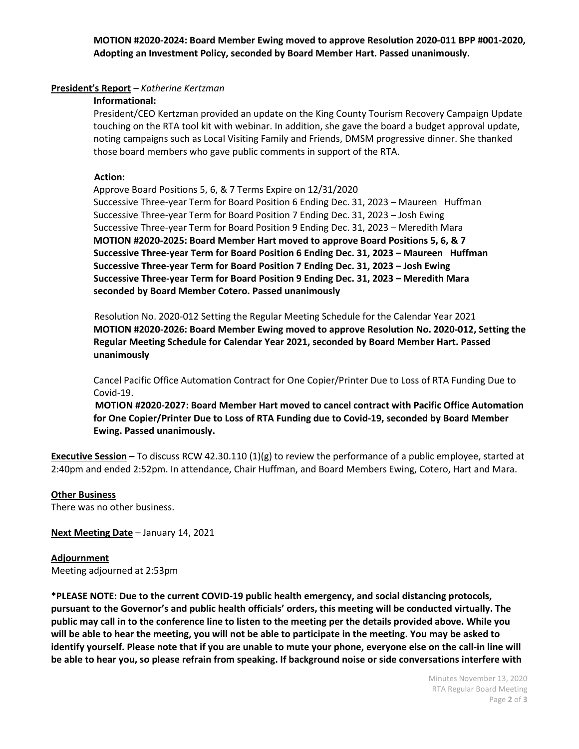**MOTION #2020-2024: Board Member Ewing moved to approve Resolution 2020-011 BPP #001-2020, Adopting an Investment Policy, seconded by Board Member Hart. Passed unanimously.**

### **President's Report** *– Katherine Kertzman*

### **Informational:**

President/CEO Kertzman provided an update on the King County Tourism Recovery Campaign Update touching on the RTA tool kit with webinar. In addition, she gave the board a budget approval update, noting campaigns such as Local Visiting Family and Friends, DMSM progressive dinner. She thanked those board members who gave public comments in support of the RTA.

### **Action:**

 Approve Board Positions 5, 6, & 7 Terms Expire on 12/31/2020 Successive Three-year Term for Board Position 6 Ending Dec. 31, 2023 – Maureen Huffman Successive Three-year Term for Board Position 7 Ending Dec. 31, 2023 – Josh Ewing Successive Three-year Term for Board Position 9 Ending Dec. 31, 2023 – Meredith Mara  **MOTION #2020-2025: Board Member Hart moved to approve Board Positions 5, 6, & 7 Successive Three-year Term for Board Position 6 Ending Dec. 31, 2023 – Maureen Huffman Successive Three-year Term for Board Position 7 Ending Dec. 31, 2023 – Josh Ewing Successive Three-year Term for Board Position 9 Ending Dec. 31, 2023 – Meredith Mara seconded by Board Member Cotero. Passed unanimously**

 Resolution No. 2020-012 Setting the Regular Meeting Schedule for the Calendar Year 2021 **MOTION #2020-2026: Board Member Ewing moved to approve Resolution No. 2020-012, Setting the Regular Meeting Schedule for Calendar Year 2021, seconded by Board Member Hart. Passed unanimously**

Cancel Pacific Office Automation Contract for One Copier/Printer Due to Loss of RTA Funding Due to Covid-19.

 **MOTION #2020-2027: Board Member Hart moved to cancel contract with Pacific Office Automation for One Copier/Printer Due to Loss of RTA Funding due to Covid-19, seconded by Board Member Ewing. Passed unanimously.**

**Executive Session –** To discuss RCW 42.30.110 (1)(g) to review the performance of a public employee, started at 2:40pm and ended 2:52pm. In attendance, Chair Huffman, and Board Members Ewing, Cotero, Hart and Mara.

#### **Other Business**

There was no other business.

**Next Meeting Date** – January 14, 2021

### **Adjournment** Meeting adjourned at 2:53pm

**\*PLEASE NOTE: Due to the current COVID-19 public health emergency, and social distancing protocols, pursuant to the Governor's and public health officials' orders, this meeting will be conducted virtually. The public may call in to the conference line to listen to the meeting per the details provided above. While you will be able to hear the meeting, you will not be able to participate in the meeting. You may be asked to identify yourself. Please note that if you are unable to mute your phone, everyone else on the call-in line will be able to hear you, so please refrain from speaking. If background noise or side conversations interfere with**